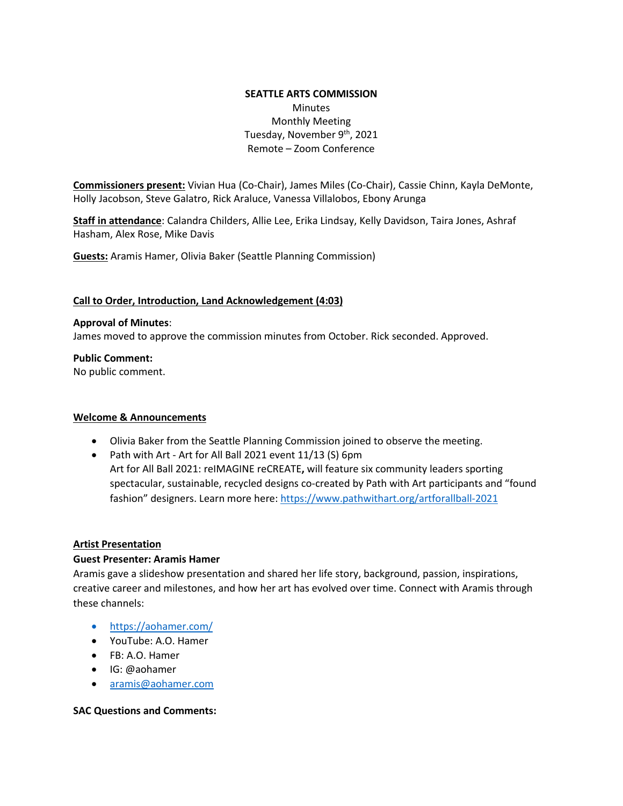### **SEATTLE ARTS COMMISSION**  Minutes Monthly Meeting Tuesday, November 9<sup>th</sup>, 2021 Remote – Zoom Conference

**Commissioners present:** Vivian Hua (Co-Chair), James Miles (Co-Chair), Cassie Chinn, Kayla DeMonte, Holly Jacobson, Steve Galatro, Rick Araluce, Vanessa Villalobos, Ebony Arunga

**Staff in attendance**: Calandra Childers, Allie Lee, Erika Lindsay, Kelly Davidson, Taira Jones, Ashraf Hasham, Alex Rose, Mike Davis

**Guests:** Aramis Hamer, Olivia Baker (Seattle Planning Commission)

#### **Call to Order, Introduction, Land Acknowledgement (4:03)**

#### **Approval of Minutes**:

James moved to approve the commission minutes from October. Rick seconded. Approved.

**Public Comment:**

No public comment.

#### **Welcome & Announcements**

- Olivia Baker from the Seattle Planning Commission joined to observe the meeting.
- Path with Art Art for All Ball 2021 event 11/13 (S) 6pm Art for All Ball 2021: reIMAGINE reCREATE**,** will feature six community leaders sporting spectacular, sustainable, recycled designs co-created by Path with Art participants and "found fashion" designers. Learn more here[: https://www.pathwithart.org/artforallball-2021](https://www.pathwithart.org/artforallball-2021)

#### **Artist Presentation**

#### **Guest Presenter: Aramis Hamer**

Aramis gave a slideshow presentation and shared her life story, background, passion, inspirations, creative career and milestones, and how her art has evolved over time. Connect with Aramis through these channels:

- <https://aohamer.com/>
- YouTube: A.O. Hamer
- FB: A.O. Hamer
- IG: @aohamer
- [aramis@aohamer.com](mailto:aramis@aohamer.com)

#### **SAC Questions and Comments:**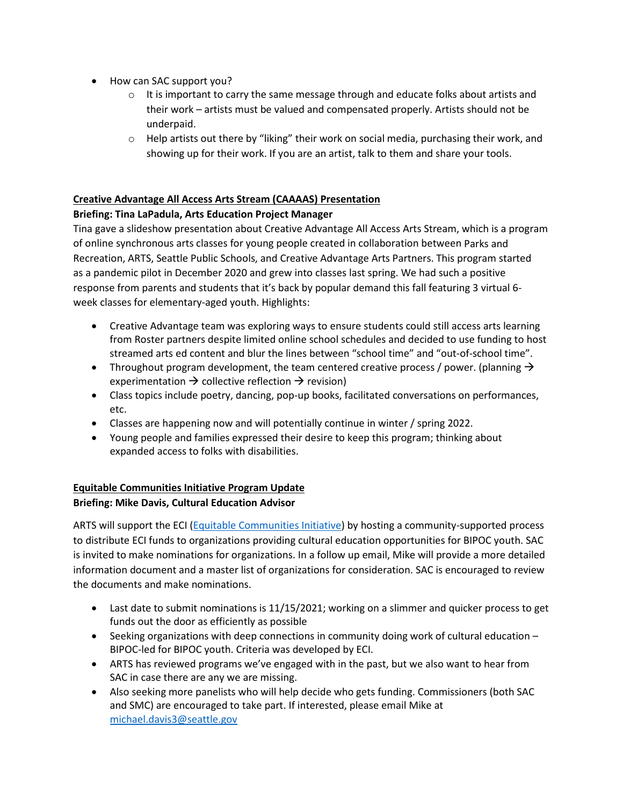- How can SAC support you?
	- $\circ$  It is important to carry the same message through and educate folks about artists and their work – artists must be valued and compensated properly. Artists should not be underpaid.
	- $\circ$  Help artists out there by "liking" their work on social media, purchasing their work, and showing up for their work. If you are an artist, talk to them and share your tools.

## **Creative Advantage All Access Arts Stream (CAAAAS) Presentation**

## **Briefing: Tina LaPadula, Arts Education Project Manager**

Tina gave a slideshow presentation about Creative Advantage All Access Arts Stream, which is a program of online synchronous arts classes for young people created in collaboration between [Parks and](https://www.seattle.gov/parks)  [Recreation,](https://www.seattle.gov/parks) ARTS, Seattle [Public Schools,](https://www.seattleschools.org/) and [Creative Advantage Arts Partners.](https://www.creativeadvantageseattle.org/partners/) This program started as a pandemic [pilot](https://artbeat.seattle.gov/2020/12/03/the-creative-advantage-all-access-arts-streaming-december-workshops/) in December 2020 and grew into [classes](https://artbeat.seattle.gov/2021/02/16/register-now-for-march-april-online-arts-classes/) last spring. We had such a positive response from parents and students that it's back by popular demand this fall featuring 3 virtual 6 week classes for elementary-aged youth. Highlights:

- Creative Advantage team was exploring ways to ensure students could still access arts learning from Roster partners despite limited online school schedules and decided to use funding to host streamed arts ed content and blur the lines between "school time" and "out-of-school time".
- Throughout program development, the team centered creative process / power. (planning  $\rightarrow$ experimentation  $\rightarrow$  collective reflection  $\rightarrow$  revision)
- Class topics include poetry, dancing, pop-up books, facilitated conversations on performances, etc.
- Classes are happening now and will potentially continue in winter / spring 2022.
- Young people and families expressed their desire to keep this program; thinking about expanded access to folks with disabilities.

## **Equitable Communities Initiative Program Update Briefing: Mike Davis, Cultural Education Advisor**

ARTS will support the ECI [\(Equitable Communities Initiative\)](http://www.seattle.gov/equitable-communities-initiative) by hosting a community-supported process to distribute ECI funds to organizations providing cultural education opportunities for BIPOC youth. SAC is invited to make nominations for organizations. In a follow up email, Mike will provide a more detailed information document and a master list of organizations for consideration. SAC is encouraged to review the documents and make nominations.

- Last date to submit nominations is 11/15/2021; working on a slimmer and quicker process to get funds out the door as efficiently as possible
- Seeking organizations with deep connections in community doing work of cultural education BIPOC-led for BIPOC youth. Criteria was developed by ECI.
- ARTS has reviewed programs we've engaged with in the past, but we also want to hear from SAC in case there are any we are missing.
- Also seeking more panelists who will help decide who gets funding. Commissioners (both SAC and SMC) are encouraged to take part. If interested, please email Mike at [michael.davis3@seattle.gov](mailto:michael.davis3@seattle.gov)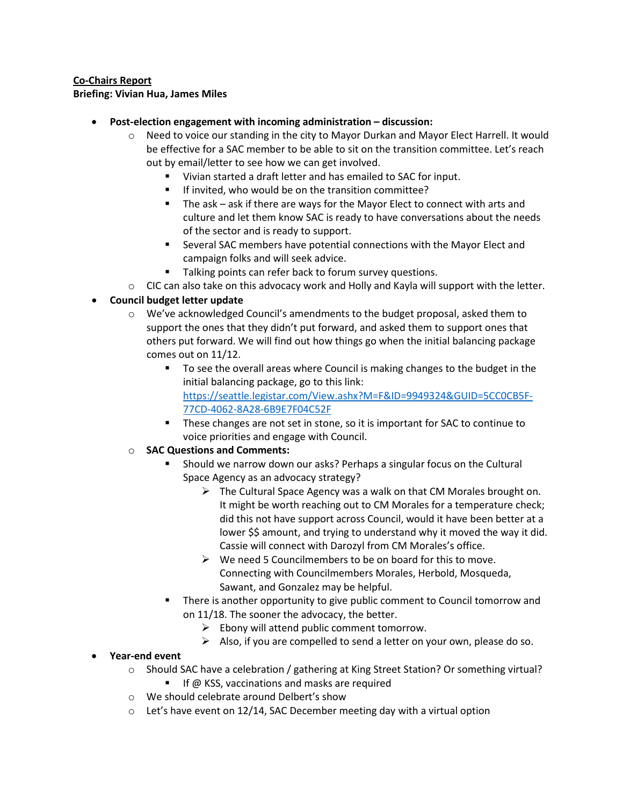### **Co-Chairs Report**

**Briefing: Vivian Hua, James Miles**

- **Post-election engagement with incoming administration – discussion:** 
	- $\circ$  Need to voice our standing in the city to Mayor Durkan and Mayor Elect Harrell. It would be effective for a SAC member to be able to sit on the transition committee. Let's reach out by email/letter to see how we can get involved.
		- Vivian started a draft letter and has emailed to SAC for input.
		- If invited, who would be on the transition committee?
		- The ask ask if there are ways for the Mayor Elect to connect with arts and culture and let them know SAC is ready to have conversations about the needs of the sector and is ready to support.
		- Several SAC members have potential connections with the Mayor Elect and campaign folks and will seek advice.
		- Talking points can refer back to forum survey questions.
	- $\circ$  CIC can also take on this advocacy work and Holly and Kayla will support with the letter.

# • **Council budget letter update**

- o We've acknowledged Council's amendments to the budget proposal, asked them to support the ones that they didn't put forward, and asked them to support ones that others put forward. We will find out how things go when the initial balancing package comes out on 11/12.
	- To see the overall areas where Council is making changes to the budget in the initial balancing package, go to this link: [https://seattle.legistar.com/View.ashx?M=F&ID=9949324&GUID=5CC0CB5F-](https://seattle.legistar.com/View.ashx?M=F&ID=9949324&GUID=5CC0CB5F-77CD-4062-8A28-6B9E7F04C52F)[77CD-4062-8A28-6B9E7F04C52F](https://seattle.legistar.com/View.ashx?M=F&ID=9949324&GUID=5CC0CB5F-77CD-4062-8A28-6B9E7F04C52F)
	- **These changes are not set in stone, so it is important for SAC to continue to** voice priorities and engage with Council.

# o **SAC Questions and Comments:**

- Should we narrow down our asks? Perhaps a singular focus on the Cultural Space Agency as an advocacy strategy?
	- $\triangleright$  The Cultural Space Agency was a walk on that CM Morales brought on. It might be worth reaching out to CM Morales for a temperature check; did this not have support across Council, would it have been better at a lower \$\$ amount, and trying to understand why it moved the way it did. Cassie will connect with Darozyl from CM Morales's office.
	- $\triangleright$  We need 5 Councilmembers to be on board for this to move. Connecting with Councilmembers Morales, Herbold, Mosqueda, Sawant, and Gonzalez may be helpful.
- There is another opportunity to give public comment to Council tomorrow and on 11/18. The sooner the advocacy, the better.
	- $\triangleright$  Ebony will attend public comment tomorrow.
	- $\triangleright$  Also, if you are compelled to send a letter on your own, please do so.

## • **Year-end event**

- o Should SAC have a celebration / gathering at King Street Station? Or something virtual?
	- If @ KSS, vaccinations and masks are required
- o We should celebrate around Delbert's show
- $\circ$  Let's have event on 12/14, SAC December meeting day with a virtual option